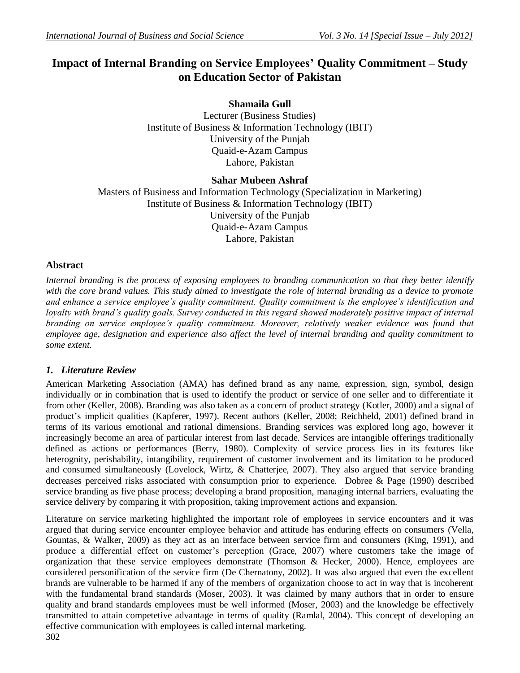# **Impact of Internal Branding on Service Employees' Quality Commitment – Study on Education Sector of Pakistan**

**Shamaila Gull**  Lecturer (Business Studies) Institute of Business & Information Technology (IBIT) University of the Punjab Quaid-e-Azam Campus Lahore, Pakistan

# **Sahar Mubeen Ashraf**

Masters of Business and Information Technology (Specialization in Marketing) Institute of Business & Information Technology (IBIT) University of the Punjab Quaid-e-Azam Campus Lahore, Pakistan

## **Abstract**

*Internal branding is the process of exposing employees to branding communication so that they better identify*  with the core brand values. This study aimed to investigate the role of internal branding as a device to promote *and enhance a service employee's quality commitment. Quality commitment is the employee's identification and loyalty with brand's quality goals. Survey conducted in this regard showed moderately positive impact of internal branding on service employee's quality commitment. Moreover, relatively weaker evidence was found that employee age, designation and experience also affect the level of internal branding and quality commitment to some extent.*

# *1. Literature Review*

American Marketing Association (AMA) has defined brand as any name, expression, sign, symbol, design individually or in combination that is used to identify the product or service of one seller and to differentiate it from other (Keller, 2008). Branding was also taken as a concern of product strategy (Kotler, 2000) and a signal of product's implicit qualities (Kapferer, 1997). Recent authors (Keller, 2008; Reichheld, 2001) defined brand in terms of its various emotional and rational dimensions. Branding services was explored long ago, however it increasingly become an area of particular interest from last decade. Services are intangible offerings traditionally defined as actions or performances (Berry, 1980). Complexity of service process lies in its features like heterognity, perishability, intangibility, requirement of customer involvement and its limitation to be produced and consumed simultaneously (Lovelock, Wirtz, & Chatterjee, 2007). They also argued that service branding decreases perceived risks associated with consumption prior to experience. Dobree & Page (1990) described service branding as five phase process; developing a brand proposition, managing internal barriers, evaluating the service delivery by comparing it with proposition, taking improvement actions and expansion.

Literature on service marketing highlighted the important role of employees in service encounters and it was argued that during service encounter employee behavior and attitude has enduring effects on consumers (Vella, Gountas, & Walker, 2009) as they act as an interface between service firm and consumers (King, 1991), and produce a differential effect on customer's perception (Grace, 2007) where customers take the image of organization that these service employees demonstrate (Thomson  $\&$  Hecker, 2000). Hence, employees are considered personification of the service firm (De Chernatony, 2002). It was also argued that even the excellent brands are vulnerable to be harmed if any of the members of organization choose to act in way that is incoherent with the fundamental brand standards (Moser, 2003). It was claimed by many authors that in order to ensure quality and brand standards employees must be well informed (Moser, 2003) and the knowledge be effectively transmitted to attain competetive advantage in terms of quality (Ramlal, 2004). This concept of developing an effective communication with employees is called internal marketing.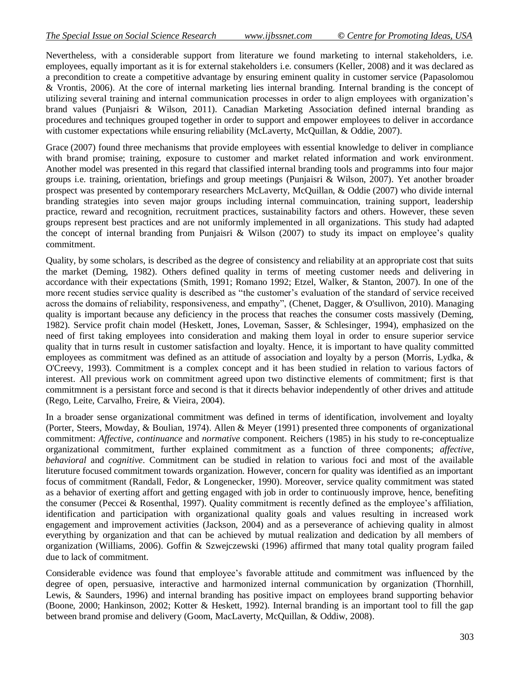Nevertheless, with a considerable support from literature we found marketing to internal stakeholders, i.e. employees, equally important as it is for external stakeholders i.e. consumers (Keller, 2008) and it was declared as a precondition to create a competitive advantage by ensuring eminent quality in customer service (Papasolomou & Vrontis, 2006). At the core of internal marketing lies internal branding. Internal branding is the concept of utilizing several training and internal communication processes in order to align employees with organization's brand values (Punjaisri & Wilson, 2011). Canadian Marketing Association defined internal branding as procedures and techniques grouped together in order to support and empower employees to deliver in accordance with customer expectations while ensuring reliability (McLaverty, McQuillan, & Oddie, 2007).

Grace (2007) found three mechanisms that provide employees with essential knowledge to deliver in compliance with brand promise; training, exposure to customer and market related information and work environment. Another model was presented in this regard that classified internal branding tools and programms into four major groups i.e. training, orientation, briefings and group meetings (Punjaisri & Wilson, 2007). Yet another broader prospect was presented by contemporary researchers McLaverty, McQuillan, & Oddie (2007) who divide internal branding strategies into seven major groups including internal commuincation, training support, leadership practice, reward and recognition, recruitment practices, sustainability factors and others. However, these seven groups represent best practices and are not uniformly implemented in all organizations. This study had adapted the concept of internal branding from Punjaisri & Wilson (2007) to study its impact on employee's quality commitment.

Quality, by some scholars, is described as the degree of consistency and reliability at an appropriate cost that suits the market (Deming, 1982). Others defined quality in terms of meeting customer needs and delivering in accordance with their expectations (Smith, 1991; Romano 1992; Etzel, Walker, & Stanton, 2007). In one of the more recent studies service quality is described as "the customer's evaluation of the standard of service received across the domains of reliability, responsiveness, and empathy", (Chenet, Dagger, & O'sullivon, 2010). Managing quality is important because any deficiency in the process that reaches the consumer costs massively (Deming, 1982). Service profit chain model (Heskett, Jones, Loveman, Sasser, & Schlesinger, 1994), emphasized on the need of first taking employees into consideration and making them loyal in order to ensure superior service quality that in turns result in customer satisfaction and loyalty. Hence, it is important to have quality committed employees as commitment was defined as an attitude of association and loyalty by a person (Morris, Lydka, & O'Creevy, 1993). Commitment is a complex concept and it has been studied in relation to various factors of interest. All previous work on commitment agreed upon two distinctive elements of commitment; first is that commitmnent is a persistant force and second is that it directs behavior independently of other drives and attitude (Rego, Leite, Carvalho, Freire, & Vieira, 2004).

In a broader sense organizational commitment was defined in terms of identification, involvement and loyalty (Porter, Steers, Mowday, & Boulian, 1974). Allen & Meyer (1991) presented three components of organizational commitment: *Affective*, *continuance* and *normative* component. Reichers (1985) in his study to re-conceptualize organizational commitment, further explained commitment as a function of three components; *affective*, *behavioral* and *cognitive*. Commitment can be studied in relation to various foci and most of the available literuture focused commitment towards organization. However, concern for quality was identified as an important focus of commitment (Randall, Fedor, & Longenecker, 1990). Moreover, service quality commitment was stated as a behavior of exerting affort and getting engaged with job in order to continuously improve, hence, benefiting the consumer (Peccei & Rosenthal, 1997). Quality commitment is recently defined as the employee's affiliation, identification and participation with organizational quality goals and values resulting in increased work engagement and improvement activities (Jackson, 2004) and as a perseverance of achieving quality in almost everything by organization and that can be achieved by mutual realization and dedication by all members of organization (Williams, 2006). Goffin & Szwejczewski (1996) affirmed that many total quality program failed due to lack of commitment.

Considerable evidence was found that employee's favorable attitude and commitment was influenced by the degree of open, persuasive, interactive and harmonized internal communication by organization (Thornhill, Lewis, & Saunders, 1996) and internal branding has positive impact on employees brand supporting behavior (Boone, 2000; Hankinson, 2002; Kotter & Heskett, 1992). Internal branding is an important tool to fill the gap between brand promise and delivery (Goom, MacLaverty, McQuillan, & Oddiw, 2008).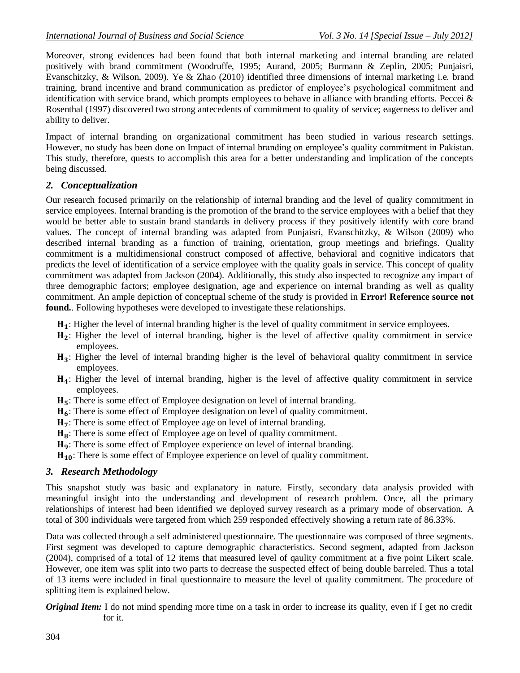Moreover, strong evidences had been found that both internal marketing and internal branding are related positively with brand commitment (Woodruffe, 1995; Aurand, 2005; Burmann & Zeplin, 2005; Punjaisri, Evanschitzky, & Wilson, 2009). Ye & Zhao (2010) identified three dimensions of internal marketing i.e. brand training, brand incentive and brand communication as predictor of employee's psychological commitment and identification with service brand, which prompts employees to behave in alliance with branding efforts. Peccei & Rosenthal (1997) discovered two strong antecedents of commitment to quality of service; eagerness to deliver and ability to deliver.

Impact of internal branding on organizational commitment has been studied in various research settings. However, no study has been done on Impact of internal branding on employee's quality commitment in Pakistan. This study, therefore, quests to accomplish this area for a better understanding and implication of the concepts being discussed.

## *2. Conceptualization*

Our research focused primarily on the relationship of internal branding and the level of quality commitment in service employees. Internal branding is the promotion of the brand to the service employees with a belief that they would be better able to sustain brand standards in delivery process if they positively identify with core brand values. The concept of internal branding was adapted from Punjaisri, Evanschitzky, & Wilson (2009) who described internal branding as a function of training, orientation, group meetings and briefings. Quality commitment is a multidimensional construct composed of affective, behavioral and cognitive indicators that predicts the level of identification of a service employee with the quality goals in service. This concept of quality commitment was adapted from Jackson (2004). Additionally, this study also inspected to recognize any impact of three demographic factors; employee designation, age and experience on internal branding as well as quality commitment. An ample depiction of conceptual scheme of the study is provided in **Error! Reference source not found.**. Following hypotheses were developed to investigate these relationships.

- : Higher the level of internal branding higher is the level of quality commitment in service employees.
- : Higher the level of internal branding, higher is the level of affective quality commitment in service employees.
- : Higher the level of internal branding higher is the level of behavioral quality commitment in service employees.
- : Higher the level of internal branding, higher is the level of affective quality commitment in service employees.
- H<sub>5</sub>: There is some effect of Employee designation on level of internal branding.
- : There is some effect of Employee designation on level of quality commitment.
- H<sub>7</sub>: There is some effect of Employee age on level of internal branding.
- H<sub>8</sub>: There is some effect of Employee age on level of quality commitment.
- : There is some effect of Employee experience on level of internal branding.

 $H_{10}$ : There is some effect of Employee experience on level of quality commitment.

## *3. Research Methodology*

This snapshot study was basic and explanatory in nature. Firstly, secondary data analysis provided with meaningful insight into the understanding and development of research problem. Once, all the primary relationships of interest had been identified we deployed survey research as a primary mode of observation. A total of 300 individuals were targeted from which 259 responded effectively showing a return rate of 86.33%.

Data was collected through a self administered questionnaire. The questionnaire was composed of three segments. First segment was developed to capture demographic characteristics. Second segment, adapted from Jackson (2004), comprised of a total of 12 items that measured level of qaulity commitment at a five point Likert scale. However, one item was split into two parts to decrease the suspected effect of being double barreled. Thus a total of 13 items were included in final questionnaire to measure the level of quality commitment. The procedure of splitting item is explained below.

*Original Item:* I do not mind spending more time on a task in order to increase its quality, even if I get no credit for it.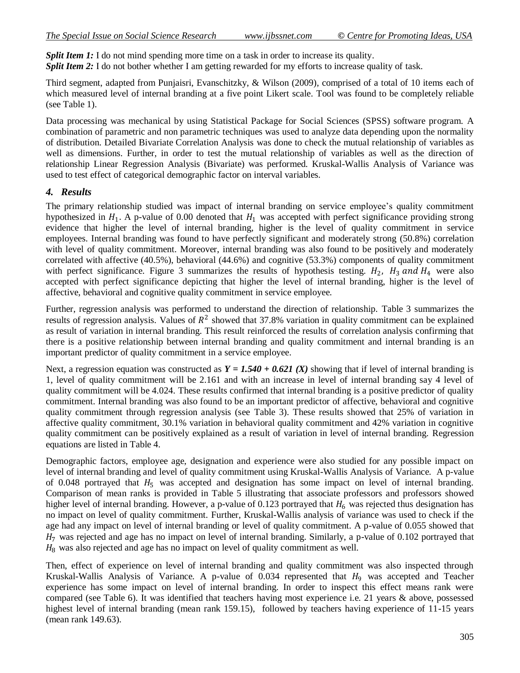*Split Item 1:* I do not mind spending more time on a task in order to increase its quality. *Split Item 2:* I do not bother whether I am getting rewarded for my efforts to increase quality of task.

Third segment, adapted from Punjaisri, Evanschitzky, & Wilson (2009), comprised of a total of 10 items each of which measured level of internal branding at a five point Likert scale. Tool was found to be completely reliable (see [Table 1\)](#page-5-0).

Data processing was mechanical by using Statistical Package for Social Sciences (SPSS) software program. A combination of parametric and non parametric techniques was used to analyze data depending upon the normality of distribution. Detailed Bivariate Correlation Analysis was done to check the mutual relationship of variables as well as dimensions. Further, in order to test the mutual relationship of variables as well as the direction of relationship Linear Regression Analysis (Bivariate) was performed. Kruskal-Wallis Analysis of Variance was used to test effect of categorical demographic factor on interval variables.

## *4. Results*

The primary relationship studied was impact of internal branding on service employee's quality commitment hypothesized in  $H_1$ . A p-value of 0.00 denoted that  $H_1$  was accepted with perfect significance providing strong evidence that higher the level of internal branding, higher is the level of quality commitment in service employees. Internal branding was found to have perfectly significant and moderately strong (50.8%) correlation with level of quality commitment. Moreover, internal branding was also found to be positively and moderately correlated with affective (40.5%), behavioral (44.6%) and cognitive (53.3%) components of quality commitment with perfect significance. [Figure 3](#page-7-0) summarizes the results of hypothesis testing.  $H_2$ ,  $H_3$  and  $H_4$  were also accepted with perfect significance depicting that higher the level of internal branding, higher is the level of affective, behavioral and cognitive quality commitment in service employee.

Further, regression analysis was performed to understand the direction of relationship. [Table 3](#page-5-1) summarizes the results of regression analysis. Values of  $R^2$  showed that 37.8% variation in quality commitment can be explained as result of variation in internal branding. This result reinforced the results of correlation analysis confirming that there is a positive relationship between internal branding and quality commitment and internal branding is an important predictor of quality commitment in a service employee.

Next, a regression equation was constructed as  $Y = 1.540 + 0.621$  (X) showing that if level of internal branding is 1, level of quality commitment will be 2.161 and with an increase in level of internal branding say 4 level of quality commitment will be 4.024. These results confirmed that internal branding is a positive predictor of quality commitment. Internal branding was also found to be an important predictor of affective, behavioral and cognitive quality commitment through regression analysis (see [Table 3\)](#page-5-1). These results showed that 25% of variation in affective quality commitment, 30.1% variation in behavioral quality commitment and 42% variation in cognitive quality commitment can be positively explained as a result of variation in level of internal branding. Regression equations are listed in [Table 4.](#page-5-2)

Demographic factors, employee age, designation and experience were also studied for any possible impact on level of internal branding and level of quality commitment using Kruskal-Wallis Analysis of Variance. A p-value of 0.048 portrayed that  $H_5$  was accepted and designation has some impact on level of internal branding. Comparison of mean ranks is provided in [Table 5](#page-5-3) illustrating that associate professors and professors showed higher level of internal branding. However, a p-value of 0.123 portrayed that  $H_6$  was rejected thus designation has no impact on level of quality commitment. Further, Kruskal-Wallis analysis of variance was used to check if the age had any impact on level of internal branding or level of quality commitment. A p-value of 0.055 showed that  $H<sub>7</sub>$  was rejected and age has no impact on level of internal branding. Similarly, a p-value of 0.102 portrayed that  $H<sub>8</sub>$  was also rejected and age has no impact on level of quality commitment as well.

Then, effect of experience on level of internal branding and quality commitment was also inspected through Kruskal-Wallis Analysis of Variance. A p-value of 0.034 represented that  $H_9$  was accepted and Teacher experience has some impact on level of internal branding. In order to inspect this effect means rank were compared (see [Table 6\)](#page-6-0). It was identified that teachers having most experience i.e. 21 years & above, possessed highest level of internal branding (mean rank 159.15), followed by teachers having experience of 11-15 years (mean rank 149.63).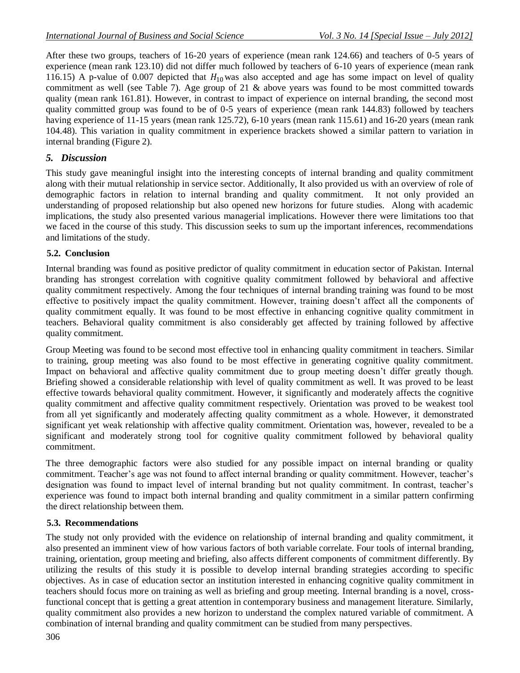After these two groups, teachers of 16-20 years of experience (mean rank 124.66) and teachers of 0-5 years of experience (mean rank 123.10) did not differ much followed by teachers of 6-10 years of experience (mean rank 116.15) A p-value of 0.007 depicted that  $H_{10}$  was also accepted and age has some impact on level of quality commitment as well (see [Table 7\)](#page-6-1). Age group of 21 & above years was found to be most committed towards quality (mean rank 161.81). However, in contrast to impact of experience on internal branding, the second most quality committed group was found to be of 0-5 years of experience (mean rank 144.83) followed by teachers having experience of 11-15 years (mean rank 125.72), 6-10 years (mean rank 115.61) and 16-20 years (mean rank 104.48). This variation in quality commitment in experience brackets showed a similar pattern to variation in internal branding (Figure 2).

## *5. Discussion*

This study gave meaningful insight into the interesting concepts of internal branding and quality commitment along with their mutual relationship in service sector. Additionally, It also provided us with an overview of role of demographic factors in relation to internal branding and quality commitment. It not only provided an understanding of proposed relationship but also opened new horizons for future studies. Along with academic implications, the study also presented various managerial implications. However there were limitations too that we faced in the course of this study. This discussion seeks to sum up the important inferences, recommendations and limitations of the study.

## **5.2. Conclusion**

Internal branding was found as positive predictor of quality commitment in education sector of Pakistan. Internal branding has strongest correlation with cognitive quality commitment followed by behavioral and affective quality commitment respectively. Among the four techniques of internal branding training was found to be most effective to positively impact the quality commitment. However, training doesn't affect all the components of quality commitment equally. It was found to be most effective in enhancing cognitive quality commitment in teachers. Behavioral quality commitment is also considerably get affected by training followed by affective quality commitment.

Group Meeting was found to be second most effective tool in enhancing quality commitment in teachers. Similar to training, group meeting was also found to be most effective in generating cognitive quality commitment. Impact on behavioral and affective quality commitment due to group meeting doesn't differ greatly though. Briefing showed a considerable relationship with level of quality commitment as well. It was proved to be least effective towards behavioral quality commitment. However, it significantly and moderately affects the cognitive quality commitment and affective quality commitment respectively. Orientation was proved to be weakest tool from all yet significantly and moderately affecting quality commitment as a whole. However, it demonstrated significant yet weak relationship with affective quality commitment. Orientation was, however, revealed to be a significant and moderately strong tool for cognitive quality commitment followed by behavioral quality commitment.

The three demographic factors were also studied for any possible impact on internal branding or quality commitment. Teacher's age was not found to affect internal branding or quality commitment. However, teacher's designation was found to impact level of internal branding but not quality commitment. In contrast, teacher's experience was found to impact both internal branding and quality commitment in a similar pattern confirming the direct relationship between them.

## **5.3. Recommendations**

The study not only provided with the evidence on relationship of internal branding and quality commitment, it also presented an imminent view of how various factors of both variable correlate. Four tools of internal branding, training, orientation, group meeting and briefing, also affects different components of commitment differently. By utilizing the results of this study it is possible to develop internal branding strategies according to specific objectives. As in case of education sector an institution interested in enhancing cognitive quality commitment in teachers should focus more on training as well as briefing and group meeting. Internal branding is a novel, crossfunctional concept that is getting a great attention in contemporary business and management literature. Similarly, quality commitment also provides a new horizon to understand the complex natured variable of commitment. A combination of internal branding and quality commitment can be studied from many perspectives.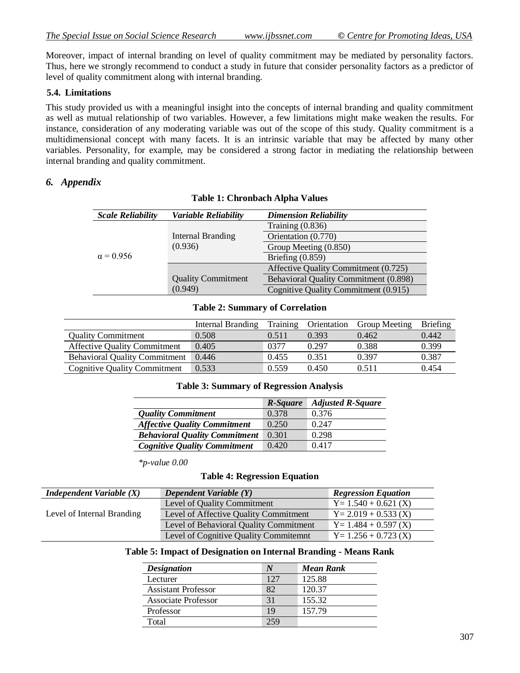Moreover, impact of internal branding on level of quality commitment may be mediated by personality factors. Thus, here we strongly recommend to conduct a study in future that consider personality factors as a predictor of level of quality commitment along with internal branding.

#### **5.4. Limitations**

This study provided us with a meaningful insight into the concepts of internal branding and quality commitment as well as mutual relationship of two variables. However, a few limitations might make weaken the results. For instance, consideration of any moderating variable was out of the scope of this study. Quality commitment is a multidimensional concept with many facets. It is an intrinsic variable that may be affected by many other variables. Personality, for example, may be considered a strong factor in mediating the relationship between internal branding and quality commitment.

#### <span id="page-5-0"></span>*6. Appendix*

| <b>Scale Reliability</b> | <b>Variable Reliability</b>          | <b>Dimension Reliability</b>          |  |
|--------------------------|--------------------------------------|---------------------------------------|--|
| $\alpha = 0.956$         |                                      | Training $(0.836)$                    |  |
|                          | Internal Branding<br>(0.936)         | Orientation (0.770)                   |  |
|                          |                                      | Group Meeting (0.850)                 |  |
|                          |                                      | Briefing $(0.859)$                    |  |
|                          |                                      | Affective Quality Commitment (0.725)  |  |
|                          | <b>Quality Commitment</b><br>(0.949) | Behavioral Quality Commitment (0.898) |  |
|                          |                                      | Cognitive Quality Commitment (0.915)  |  |

#### **Table 1: Chronbach Alpha Values**

#### **Table 2: Summary of Correlation**

<span id="page-5-1"></span>

|                                      | Internal Branding | Training | Orientation | <b>Group Meeting</b> | <b>Briefing</b> |
|--------------------------------------|-------------------|----------|-------------|----------------------|-----------------|
| <b>Quality Commitment</b>            | 0.508             | 0.511    | 0.393       | 0.462                | 0.442           |
| <b>Affective Quality Commitment</b>  | 0.405             | 0377     | 0.297       | 0.388                | 0.399           |
| <b>Behavioral Quality Commitment</b> | 0.446             | 0.455    | 0.351       | 0.397                | 0.387           |
| <b>Cognitive Quality Commitment</b>  | 0.533             | 0.559    | 0.450       | 0.511                | 0.454           |

#### **Table 3: Summary of Regression Analysis**

|                                      | R-Square | <b>Adjusted R-Square</b> |
|--------------------------------------|----------|--------------------------|
| <b>Quality Commitment</b>            | 0.378    | 0.376                    |
| <b>Affective Quality Commitment</b>  | 0.250    | 0.247                    |
| <b>Behavioral Quality Commitment</b> | 0.301    | 0.298                    |
| <b>Cognitive Quality Commitment</b>  | 0.420    | 0.417                    |

*\*p-value 0.00*

#### **Table 4: Regression Equation**

<span id="page-5-3"></span><span id="page-5-2"></span>

| <b>Independent Variable <math>(X)</math></b> | Dependent Variable (Y)                 | <b>Regression Equation</b> |
|----------------------------------------------|----------------------------------------|----------------------------|
|                                              | Level of Quality Commitment            | $Y = 1.540 + 0.621$ (X)    |
| Level of Internal Branding                   | Level of Affective Quality Commitment  | $Y = 2.019 + 0.533$ (X)    |
|                                              | Level of Behavioral Quality Commitment | $Y = 1.484 + 0.597$ (X)    |
|                                              | Level of Cognitive Quality Commitemnt  | $Y = 1.256 + 0.723$ (X)    |

#### **Table 5: Impact of Designation on Internal Branding - Means Rank**

| <b>Designation</b>         | N   | <b>Mean Rank</b> |
|----------------------------|-----|------------------|
| Lecturer                   | 127 | 125.88           |
| <b>Assistant Professor</b> | 82  | 120.37           |
| <b>Associate Professor</b> | 31  | 155.32           |
| Professor                  | 19  | 157.79           |
| Total                      |     |                  |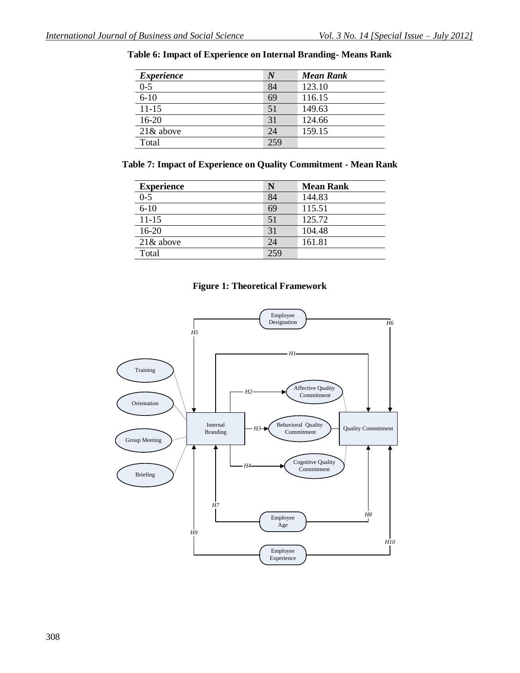#### <span id="page-6-0"></span>**Table 6: Impact of Experience on Internal Branding- Means Rank**

| <i>Experience</i> | V   | <b>Mean Rank</b> |
|-------------------|-----|------------------|
| $0 - 5$           | 84  | 123.10           |
| $6 - 10$          | 69  | 116.15           |
| $11 - 15$         | 51  | 149.63           |
| $16 - 20$         | 31  | 124.66           |
| $21\&$ above      | 24  | 159.15           |
| Total             | 259 |                  |

#### <span id="page-6-1"></span>**Table 7: Impact of Experience on Quality Commitment - Mean Rank**

| <b>Experience</b> | N   | <b>Mean Rank</b> |
|-------------------|-----|------------------|
| $0 - 5$           | 84  | 144.83           |
| $6 - 10$          | 69  | 115.51           |
| $11 - 15$         | 51  | 125.72           |
| $16 - 20$         | 31  | 104.48           |
| $21\&$ above      | 24  | 161.81           |
| Total             | 259 |                  |

#### **Figure 1: Theoretical Framework**

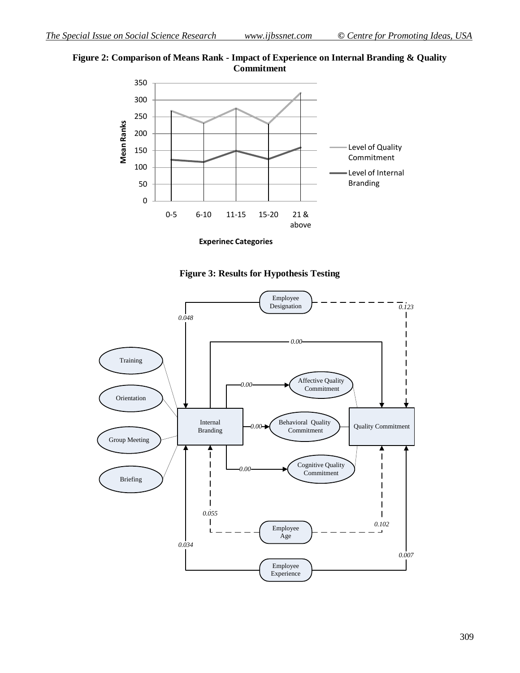



**Experinec Categories**



<span id="page-7-0"></span>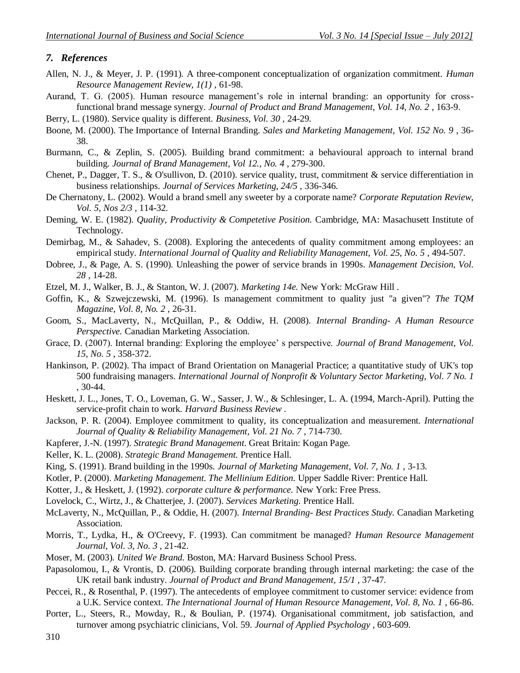#### *7. References*

- Allen, N. J., & Meyer, J. P. (1991). A three-component conceptualization of organization commitment. *Human Resource Management Review, 1(1)* , 61-98.
- Aurand, T. G. (2005). Human resource management's role in internal branding: an opportunity for crossfunctional brand message synergy. *Journal of Product and Brand Management, Vol. 14, No. 2* , 163-9.

Berry, L. (1980). Service quality is different. *Business, Vol. 30* , 24-29.

- Boone, M. (2000). The Importance of Internal Branding. *Sales and Marketing Management, Vol. 152 No. 9* , 36- 38.
- Burmann, C., & Zeplin, S. (2005). Building brand commitment: a behavioural approach to internal brand building. *Journal of Brand Management, Vol 12., No. 4* , 279-300.
- Chenet, P., Dagger, T. S., & O'sullivon, D. (2010). service quality, trust, commitment & service differentiation in business relationships. *Journal of Services Marketing, 24/5* , 336-346.
- De Chernatony, L. (2002). Would a brand smell any sweeter by a corporate name? *Corporate Reputation Review, Vol. 5, Nos 2/3* , 114-32.
- Deming, W. E. (1982). *Quality, Productivity & Competetive Position.* Cambridge, MA: Masachusett Institute of Technology.
- Demirbag, M., & Sahadev, S. (2008). Exploring the antecedents of quality commitment among employees: an empirical study. *International Journal of Quality and Reliability Management, Vol. 25, No. 5* , 494-507.
- Dobree, J., & Page, A. S. (1990). Unleashing the power of service brands in 1990s. *Management Decision, Vol. 28* , 14-28.
- Etzel, M. J., Walker, B. J., & Stanton, W. J. (2007). *Marketing 14e.* New York: McGraw Hill .
- Goffin, K., & Szwejczewski, M. (1996). Is management commitment to quality just "a given"? *The TQM Magazine, Vol. 8, No. 2* , 26-31.
- Goom, S., MacLaverty, N., McQuillan, P., & Oddiw, H. (2008). *Internal Branding- A Human Resource Perspective.* Canadian Marketing Association.
- Grace, D. (2007). Internal branding: Exploring the employee' s perspective. *Journal of Brand Management, Vol. 15, No. 5* , 358-372.
- Hankinson, P. (2002). Tha impact of Brand Orientation on Managerial Practice; a quantitative study of UK's top 500 fundraising managers. *International Journal of Nonprofit & Voluntary Sector Marketing, Vol. 7 No. 1* , 30-44.
- Heskett, J. L., Jones, T. O., Loveman, G. W., Sasser, J. W., & Schlesinger, L. A. (1994, March-April). Putting the service-profit chain to work. *Harvard Business Review* .
- Jackson, P. R. (2004). Employee commitment to quality, its conceptualization and measurement. *International Journal of Quality & Reliability Management, Vol. 21 No. 7* , 714-730.
- Kapferer, J.-N. (1997). *Strategic Brand Management.* Great Britain: Kogan Page.
- Keller, K. L. (2008). *Strategic Brand Management.* Prentice Hall.
- King, S. (1991). Brand building in the 1990s. *Journal of Marketing Management, Vol. 7, No. 1* , 3-13.
- Kotler, P. (2000). *Marketing Management. The Mellinium Edition.* Upper Saddle River: Prentice Hall.
- Kotter, J., & Heskett, J. (1992). *corporate culture & performance.* New York: Free Press.
- Lovelock, C., Wirtz, J., & Chatterjee, J. (2007). *Services Marketing.* Prentice Hall.
- McLaverty, N., McQuillan, P., & Oddie, H. (2007). *Internal Branding- Best Practices Study.* Canadian Marketing Association.
- Morris, T., Lydka, H., & O'Creevy, F. (1993). Can commitment be managed? *Human Resource Management Journal, Vol. 3, No. 3* , 21-42.
- Moser, M. (2003). *United We Brand.* Boston, MA: Harvard Business School Press.
- Papasolomou, I., & Vrontis, D. (2006). Building corporate branding through internal marketing: the case of the UK retail bank industry. *Journal of Product and Brand Management, 15/1* , 37-47.
- Peccei, R., & Rosenthal, P. (1997). The antecedents of employee commitment to customer service: evidence from a U.K. Service context. *The International Journal of Human Resource Management, Vol. 8, No. 1* , 66-86.
- Porter, L., Steers, R., Mowday, R., & Boulian, P. (1974). Organisational commitment, job satisfaction, and turnover among psychiatric clinicians, Vol. 59. *Journal of Applied Psychology* , 603-609.